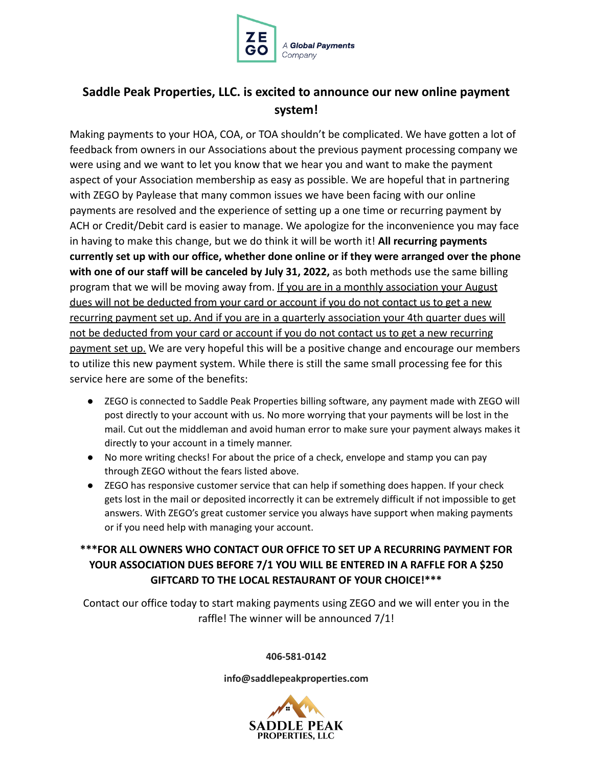

## **Saddle Peak Properties, LLC. is excited to announce our new online payment system!**

Making payments to your HOA, COA, or TOA shouldn't be complicated. We have gotten a lot of feedback from owners in our Associations about the previous payment processing company we were using and we want to let you know that we hear you and want to make the payment aspect of your Association membership as easy as possible. We are hopeful that in partnering with ZEGO by Paylease that many common issues we have been facing with our online payments are resolved and the experience of setting up a one time or recurring payment by ACH or Credit/Debit card is easier to manage. We apologize for the inconvenience you may face in having to make this change, but we do think it will be worth it! **All recurring payments currently set up with our office, whether done online or if they were arranged over the phone with one of our staff will be canceled by July 31, 2022,** as both methods use the same billing program that we will be moving away from. If you are in a monthly association your August dues will not be deducted from your card or account if you do not contact us to get a new recurring payment set up. And if you are in a quarterly association your 4th quarter dues will not be deducted from your card or account if you do not contact us to get a new recurring payment set up. We are very hopeful this will be a positive change and encourage our members to utilize this new payment system. While there is still the same small processing fee for this service here are some of the benefits:

- ZEGO is connected to Saddle Peak Properties billing software, any payment made with ZEGO will post directly to your account with us. No more worrying that your payments will be lost in the mail. Cut out the middleman and avoid human error to make sure your payment always makes it directly to your account in a timely manner.
- No more writing checks! For about the price of a check, envelope and stamp you can pay through ZEGO without the fears listed above.
- ZEGO has responsive customer service that can help if something does happen. If your check gets lost in the mail or deposited incorrectly it can be extremely difficult if not impossible to get answers. With ZEGO's great customer service you always have support when making payments or if you need help with managing your account.

## **\*\*\*FOR ALL OWNERS WHO CONTACT OUR OFFICE TO SET UP A RECURRING PAYMENT FOR YOUR ASSOCIATION DUES BEFORE 7/1 YOU WILL BE ENTERED IN A RAFFLE FOR A \$250 GIFTCARD TO THE LOCAL RESTAURANT OF YOUR CHOICE!\*\*\***

Contact our office today to start making payments using ZEGO and we will enter you in the raffle! The winner will be announced 7/1!

**406-581-0142**

**info@saddlepeakproperties.com**